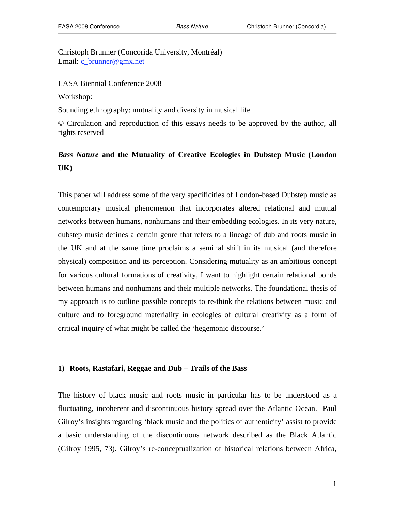Christoph Brunner (Concorida University, Montréal) Email: c\_brunner@gmx.net

EASA Biennial Conference 2008

Workshop:

Sounding ethnography: mutuality and diversity in musical life

© Circulation and reproduction of this essays needs to be approved by the author, all rights reserved

# *Bass Nature* **and the Mutuality of Creative Ecologies in Dubstep Music (London UK)**

This paper will address some of the very specificities of London-based Dubstep music as contemporary musical phenomenon that incorporates altered relational and mutual networks between humans, nonhumans and their embedding ecologies. In its very nature, dubstep music defines a certain genre that refers to a lineage of dub and roots music in the UK and at the same time proclaims a seminal shift in its musical (and therefore physical) composition and its perception. Considering mutuality as an ambitious concept for various cultural formations of creativity, I want to highlight certain relational bonds between humans and nonhumans and their multiple networks. The foundational thesis of my approach is to outline possible concepts to re-think the relations between music and culture and to foreground materiality in ecologies of cultural creativity as a form of critical inquiry of what might be called the 'hegemonic discourse.'

#### **1) Roots, Rastafari, Reggae and Dub – Trails of the Bass**

The history of black music and roots music in particular has to be understood as a fluctuating, incoherent and discontinuous history spread over the Atlantic Ocean. Paul Gilroy's insights regarding 'black music and the politics of authenticity' assist to provide a basic understanding of the discontinuous network described as the Black Atlantic (Gilroy 1995, 73). Gilroy's re-conceptualization of historical relations between Africa,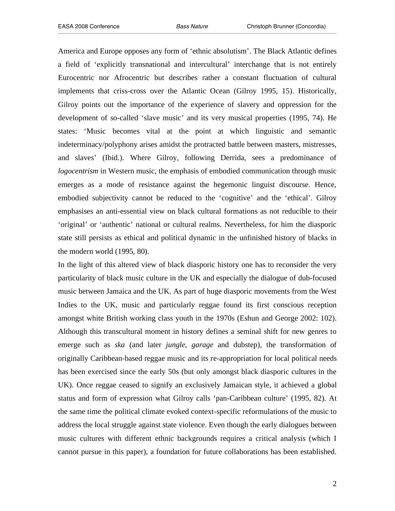America and Europe opposes any form of 'ethnic absolutism'. The Black Atlantic defines a field of 'explicitly transnational and intercultural' interchange that is not entirely Eurocentric nor Afrocentric but describes rather a constant fluctuation of cultural implements that criss-cross over the Atlantic Ocean (Gilroy 1995, 15). Historically, Gilroy points out the importance of the experience of slavery and oppression for the development of so-called 'slave music' and its very musical properties (1995, 74). He states: 'Music becomes vital at the point at which linguistic and semantic indeterminacy/polyphony arises amidst the protracted battle between masters, mistresses, and slaves' (Ibid.). Where Gilroy, following Derrida, sees a predominance of *logocentrism* in Western music, the emphasis of embodied communication through music emerges as a mode of resistance against the hegemonic linguist discourse. Hence, embodied subjectivity cannot be reduced to the 'cognitive' and the 'ethical'. Gilroy emphasises an anti-essential view on black cultural formations as not reducible to their 'original' or 'authentic' national or cultural realms. Nevertheless, for him the diasporic state still persists as ethical and political dynamic in the unfinished history of blacks in the modern world (1995, 80).

In the light of this altered view of black diasporic history one has to reconsider the very particularity of black music culture in the UK and especially the dialogue of dub-focused music between Jamaica and the UK. As part of huge diasporic movements from the West Indies to the UK, music and particularly reggae found its first conscious reception amongst white British working class youth in the 1970s (Eshun and George 2002: 102). Although this transcultural moment in history defines a seminal shift for new genres to emerge such as *ska* (and later *jungle*, *garage* and dubstep), the transformation of originally Caribbean-based reggae music and its re-appropriation for local political needs has been exercised since the early 50s (but only amongst black diasporic cultures in the UK). Once reggae ceased to signify an exclusively Jamaican style, it achieved a global status and form of expression what Gilroy calls 'pan-Caribbean culture' (1995, 82). At the same time the political climate evoked context-specific reformulations of the music to address the local struggle against state violence. Even though the early dialogues between music cultures with different ethnic backgrounds requires a critical analysis (which I cannot pursue in this paper), a foundation for future collaborations has been established.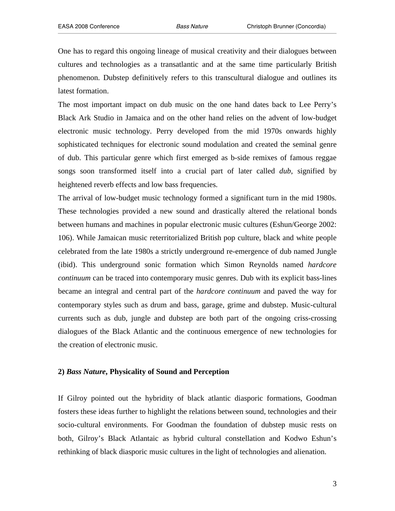One has to regard this ongoing lineage of musical creativity and their dialogues between cultures and technologies as a transatlantic and at the same time particularly British phenomenon. Dubstep definitively refers to this transcultural dialogue and outlines its latest formation.

The most important impact on dub music on the one hand dates back to Lee Perry's Black Ark Studio in Jamaica and on the other hand relies on the advent of low-budget electronic music technology. Perry developed from the mid 1970s onwards highly sophisticated techniques for electronic sound modulation and created the seminal genre of dub. This particular genre which first emerged as b-side remixes of famous reggae songs soon transformed itself into a crucial part of later called *dub*, signified by heightened reverb effects and low bass frequencies.

The arrival of low-budget music technology formed a significant turn in the mid 1980s. These technologies provided a new sound and drastically altered the relational bonds between humans and machines in popular electronic music cultures (Eshun/George 2002: 106). While Jamaican music reterritorialized British pop culture, black and white people celebrated from the late 1980s a strictly underground re-emergence of dub named Jungle (ibid). This underground sonic formation which Simon Reynolds named *hardcore continuum* can be traced into contemporary music genres. Dub with its explicit bass-lines became an integral and central part of the *hardcore continuum* and paved the way for contemporary styles such as drum and bass, garage, grime and dubstep. Music-cultural currents such as dub, jungle and dubstep are both part of the ongoing criss-crossing dialogues of the Black Atlantic and the continuous emergence of new technologies for the creation of electronic music.

#### **2)** *Bass Nature***, Physicality of Sound and Perception**

If Gilroy pointed out the hybridity of black atlantic diasporic formations, Goodman fosters these ideas further to highlight the relations between sound, technologies and their socio-cultural environments. For Goodman the foundation of dubstep music rests on both, Gilroy's Black Atlantaic as hybrid cultural constellation and Kodwo Eshun's rethinking of black diasporic music cultures in the light of technologies and alienation.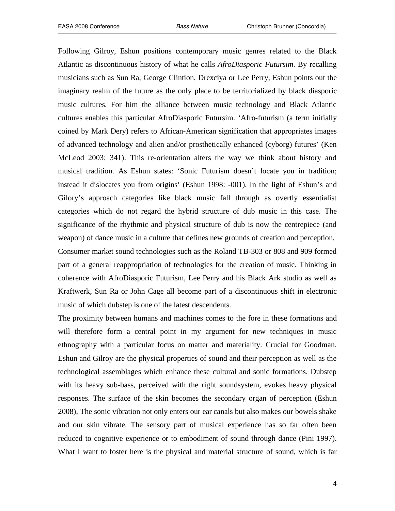Following Gilroy, Eshun positions contemporary music genres related to the Black Atlantic as discontinuous history of what he calls *AfroDiasporic Futursim*. By recalling musicians such as Sun Ra, George Clintion, Drexciya or Lee Perry, Eshun points out the imaginary realm of the future as the only place to be territorialized by black diasporic music cultures. For him the alliance between music technology and Black Atlantic cultures enables this particular AfroDiasporic Futursim. 'Afro-futurism (a term initially coined by Mark Dery) refers to African-American signification that appropriates images of advanced technology and alien and/or prosthetically enhanced (cyborg) futures' (Ken McLeod 2003: 341). This re-orientation alters the way we think about history and musical tradition. As Eshun states: 'Sonic Futurism doesn't locate you in tradition; instead it dislocates you from origins' (Eshun 1998: -001). In the light of Eshun's and Gilory's approach categories like black music fall through as overtly essentialist categories which do not regard the hybrid structure of dub music in this case. The significance of the rhythmic and physical structure of dub is now the centrepiece (and weapon) of dance music in a culture that defines new grounds of creation and perception. Consumer market sound technologies such as the Roland TB-303 or 808 and 909 formed part of a general reappropriation of technologies for the creation of music. Thinking in coherence with AfroDiasporic Futurism, Lee Perry and his Black Ark studio as well as

Kraftwerk, Sun Ra or John Cage all become part of a discontinuous shift in electronic music of which dubstep is one of the latest descendents.

The proximity between humans and machines comes to the fore in these formations and will therefore form a central point in my argument for new techniques in music ethnography with a particular focus on matter and materiality. Crucial for Goodman, Eshun and Gilroy are the physical properties of sound and their perception as well as the technological assemblages which enhance these cultural and sonic formations. Dubstep with its heavy sub-bass, perceived with the right soundsystem, evokes heavy physical responses. The surface of the skin becomes the secondary organ of perception (Eshun 2008), The sonic vibration not only enters our ear canals but also makes our bowels shake and our skin vibrate. The sensory part of musical experience has so far often been reduced to cognitive experience or to embodiment of sound through dance (Pini 1997). What I want to foster here is the physical and material structure of sound, which is far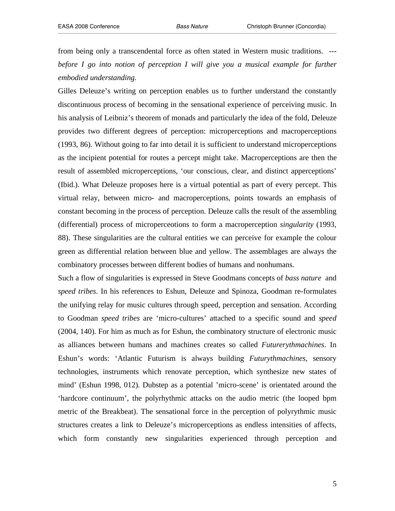from being only a transcendental force as often stated in Western music traditions. -- *before I go into notion of perception I will give you a musical example for further embodied understanding.*

Gilles Deleuze's writing on perception enables us to further understand the constantly discontinuous process of becoming in the sensational experience of perceiving music. In his analysis of Leibniz's theorem of monads and particularly the idea of the fold, Deleuze provides two different degrees of perception: microperceptions and macroperceptions (1993, 86). Without going to far into detail it is sufficient to understand microperceptions as the incipient potential for routes a percept might take. Macroperceptions are then the result of assembled microperceptions, 'our conscious, clear, and distinct apperceptions' (Ibid.). What Deleuze proposes here is a virtual potential as part of every percept. This virtual relay, between micro- and macroperceptions, points towards an emphasis of constant becoming in the process of perception. Deleuze calls the result of the assembling (differential) process of microperceotions to form a macroperception *singularity* (1993, 88). These singularities are the cultural entities we can perceive for example the colour green as differential relation between blue and yellow. The assemblages are always the combinatory processes between different bodies of humans and nonhumans.

Such a flow of singularities is expressed in Steve Goodmans concepts of *bass nature* and *speed tribes*. In his references to Eshun, Deleuze and Spinoza, Goodman re-formulates the unifying relay for music cultures through speed, perception and sensation. According to Goodman *speed tribes* are 'micro-cultures' attached to a specific sound and *speed* (2004, 140). For him as much as for Eshun, the combinatory structure of electronic music as alliances between humans and machines creates so called *Futurerythmachines*. In Eshun's words: 'Atlantic Futurism is always building *Futurythmachines*, sensory technologies, instruments which renovate perception, which synthesize new states of mind' (Eshun 1998, 012). Dubstep as a potential 'micro-scene' is orientated around the 'hardcore continuum', the polyrhythmic attacks on the audio metric (the looped bpm metric of the Breakbeat). The sensational force in the perception of polyrythmic music structures creates a link to Deleuze's microperceptions as endless intensities of affects, which form constantly new singularities experienced through perception and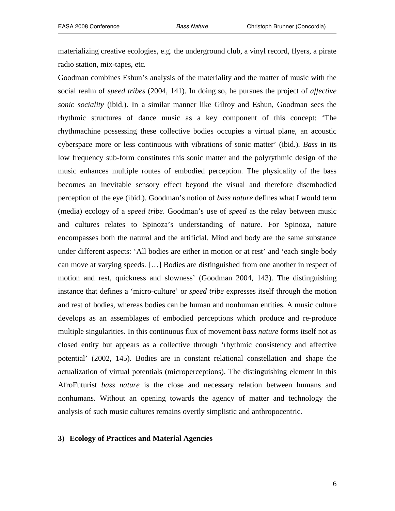materializing creative ecologies, e.g. the underground club, a vinyl record, flyers, a pirate radio station, mix-tapes, etc.

Goodman combines Eshun's analysis of the materiality and the matter of music with the social realm of *speed tribes* (2004, 141). In doing so, he pursues the project of *affective sonic sociality* (ibid.). In a similar manner like Gilroy and Eshun, Goodman sees the rhythmic structures of dance music as a key component of this concept: 'The rhythmachine possessing these collective bodies occupies a virtual plane, an acoustic cyberspace more or less continuous with vibrations of sonic matter' (ibid.). *Bass* in its low frequency sub-form constitutes this sonic matter and the polyrythmic design of the music enhances multiple routes of embodied perception. The physicality of the bass becomes an inevitable sensory effect beyond the visual and therefore disembodied perception of the eye (ibid.). Goodman's notion of *bass nature* defines what I would term (media) ecology of a *speed tribe*. Goodman's use of *speed* as the relay between music and cultures relates to Spinoza's understanding of nature. For Spinoza, nature encompasses both the natural and the artificial. Mind and body are the same substance under different aspects: 'All bodies are either in motion or at rest' and 'each single body can move at varying speeds. […] Bodies are distinguished from one another in respect of motion and rest, quickness and slowness' (Goodman 2004, 143). The distinguishing instance that defines a 'micro-culture' or *speed tribe* expresses itself through the motion and rest of bodies, whereas bodies can be human and nonhuman entities. A music culture develops as an assemblages of embodied perceptions which produce and re-produce multiple singularities. In this continuous flux of movement *bass nature* forms itself not as closed entity but appears as a collective through 'rhythmic consistency and affective potential' (2002, 145). Bodies are in constant relational constellation and shape the actualization of virtual potentials (microperceptions). The distinguishing element in this AfroFuturist *bass nature* is the close and necessary relation between humans and nonhumans. Without an opening towards the agency of matter and technology the analysis of such music cultures remains overtly simplistic and anthropocentric.

### **3) Ecology of Practices and Material Agencies**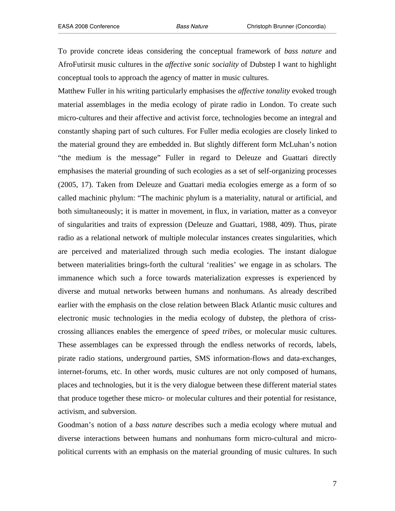To provide concrete ideas considering the conceptual framework of *bass nature* and AfroFutirsit music cultures in the *affective sonic sociality* of Dubstep I want to highlight conceptual tools to approach the agency of matter in music cultures.

Matthew Fuller in his writing particularly emphasises the *affective tonality* evoked trough material assemblages in the media ecology of pirate radio in London. To create such micro-cultures and their affective and activist force, technologies become an integral and constantly shaping part of such cultures. For Fuller media ecologies are closely linked to the material ground they are embedded in. But slightly different form McLuhan's notion "the medium is the message" Fuller in regard to Deleuze and Guattari directly emphasises the material grounding of such ecologies as a set of self-organizing processes (2005, 17). Taken from Deleuze and Guattari media ecologies emerge as a form of so called machinic phylum: "The machinic phylum is a materiality, natural or artificial, and both simultaneously; it is matter in movement, in flux, in variation, matter as a conveyor of singularities and traits of expression (Deleuze and Guattari, 1988, 409). Thus, pirate radio as a relational network of multiple molecular instances creates singularities, which are perceived and materialized through such media ecologies. The instant dialogue between materialities brings-forth the cultural 'realities' we engage in as scholars. The immanence which such a force towards materialization expresses is experienced by diverse and mutual networks between humans and nonhumans. As already described earlier with the emphasis on the close relation between Black Atlantic music cultures and electronic music technologies in the media ecology of dubstep, the plethora of crisscrossing alliances enables the emergence of *speed tribes,* or molecular music cultures. These assemblages can be expressed through the endless networks of records, labels, pirate radio stations, underground parties, SMS information-flows and data-exchanges, internet-forums, etc. In other words, music cultures are not only composed of humans, places and technologies, but it is the very dialogue between these different material states that produce together these micro- or molecular cultures and their potential for resistance, activism, and subversion.

Goodman's notion of a *bass nature* describes such a media ecology where mutual and diverse interactions between humans and nonhumans form micro-cultural and micropolitical currents with an emphasis on the material grounding of music cultures. In such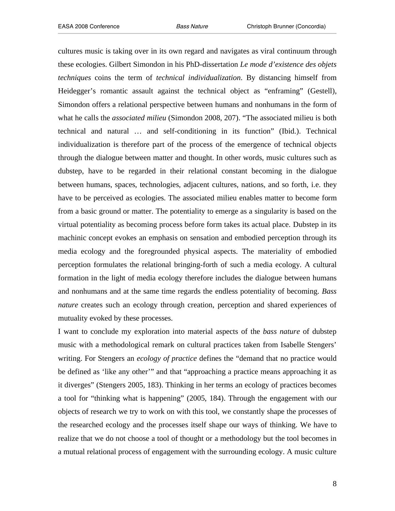cultures music is taking over in its own regard and navigates as viral continuum through these ecologies. Gilbert Simondon in his PhD-dissertation *Le mode d'existence des objets techniques* coins the term of *technical individualization*. By distancing himself from Heidegger's romantic assault against the technical object as "enframing" (Gestell), Simondon offers a relational perspective between humans and nonhumans in the form of what he calls the *associated milieu* (Simondon 2008, 207). "The associated milieu is both technical and natural … and self-conditioning in its function" (Ibid.). Technical individualization is therefore part of the process of the emergence of technical objects through the dialogue between matter and thought. In other words, music cultures such as dubstep, have to be regarded in their relational constant becoming in the dialogue between humans, spaces, technologies, adjacent cultures, nations, and so forth, i.e. they have to be perceived as ecologies. The associated milieu enables matter to become form from a basic ground or matter. The potentiality to emerge as a singularity is based on the virtual potentiality as becoming process before form takes its actual place. Dubstep in its machinic concept evokes an emphasis on sensation and embodied perception through its media ecology and the foregrounded physical aspects. The materiality of embodied perception formulates the relational bringing-forth of such a media ecology. A cultural formation in the light of media ecology therefore includes the dialogue between humans and nonhumans and at the same time regards the endless potentiality of becoming. *Bass nature* creates such an ecology through creation, perception and shared experiences of mutuality evoked by these processes.

I want to conclude my exploration into material aspects of the *bass nature* of dubstep music with a methodological remark on cultural practices taken from Isabelle Stengers' writing. For Stengers an *ecology of practice* defines the "demand that no practice would be defined as 'like any other'" and that "approaching a practice means approaching it as it diverges" (Stengers 2005, 183). Thinking in her terms an ecology of practices becomes a tool for "thinking what is happening" (2005, 184). Through the engagement with our objects of research we try to work on with this tool, we constantly shape the processes of the researched ecology and the processes itself shape our ways of thinking. We have to realize that we do not choose a tool of thought or a methodology but the tool becomes in a mutual relational process of engagement with the surrounding ecology. A music culture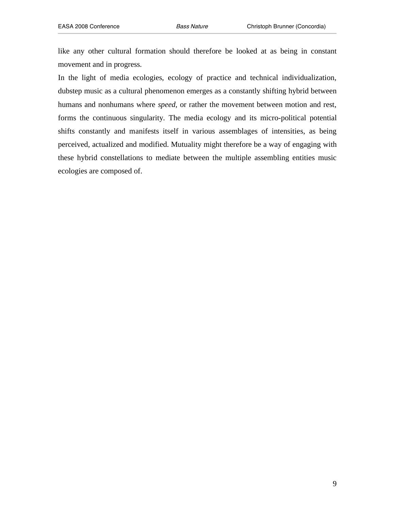like any other cultural formation should therefore be looked at as being in constant movement and in progress.

In the light of media ecologies, ecology of practice and technical individualization, dubstep music as a cultural phenomenon emerges as a constantly shifting hybrid between humans and nonhumans where *speed*, or rather the movement between motion and rest, forms the continuous singularity. The media ecology and its micro-political potential shifts constantly and manifests itself in various assemblages of intensities, as being perceived, actualized and modified. Mutuality might therefore be a way of engaging with these hybrid constellations to mediate between the multiple assembling entities music ecologies are composed of.